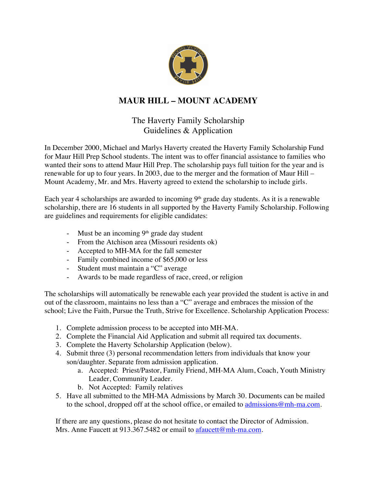

## **MAUR HILL – MOUNT ACADEMY**

## The Haverty Family Scholarship Guidelines & Application

In December 2000, Michael and Marlys Haverty created the Haverty Family Scholarship Fund for Maur Hill Prep School students. The intent was to offer financial assistance to families who wanted their sons to attend Maur Hill Prep. The scholarship pays full tuition for the year and is renewable for up to four years. In 2003, due to the merger and the formation of Maur Hill – Mount Academy, Mr. and Mrs. Haverty agreed to extend the scholarship to include girls.

Each year 4 scholarships are awarded to incoming 9<sup>th</sup> grade day students. As it is a renewable scholarship, there are 16 students in all supported by the Haverty Family Scholarship. Following are guidelines and requirements for eligible candidates:

- Must be an incoming  $9<sup>th</sup>$  grade day student
- From the Atchison area (Missouri residents ok)
- Accepted to MH-MA for the fall semester
- Family combined income of \$65,000 or less
- Student must maintain a "C" average
- Awards to be made regardless of race, creed, or religion

The scholarships will automatically be renewable each year provided the student is active in and out of the classroom, maintains no less than a "C" average and embraces the mission of the school; Live the Faith, Pursue the Truth, Strive for Excellence. Scholarship Application Process:

- 1. Complete admission process to be accepted into MH-MA.
- 2. Complete the Financial Aid Application and submit all required tax documents.
- 3. Complete the Haverty Scholarship Application (below).
- 4. Submit three (3) personal recommendation letters from individuals that know your son/daughter. Separate from admission application.
	- a. Accepted: Priest/Pastor, Family Friend, MH-MA Alum, Coach, Youth Ministry Leader, Community Leader.
	- b. Not Accepted: Family relatives
- 5. Have all submitted to the MH-MA Admissions by March 30. Documents can be mailed to the school, dropped off at the school office, or emailed to  $\frac{admissions@mh-ma.com}{admissions@mh-ma.com}$ .

If there are any questions, please do not hesitate to contact the Director of Admission. Mrs. Anne Faucett at 913.367.5482 or email to afaucett@mh-ma.com.